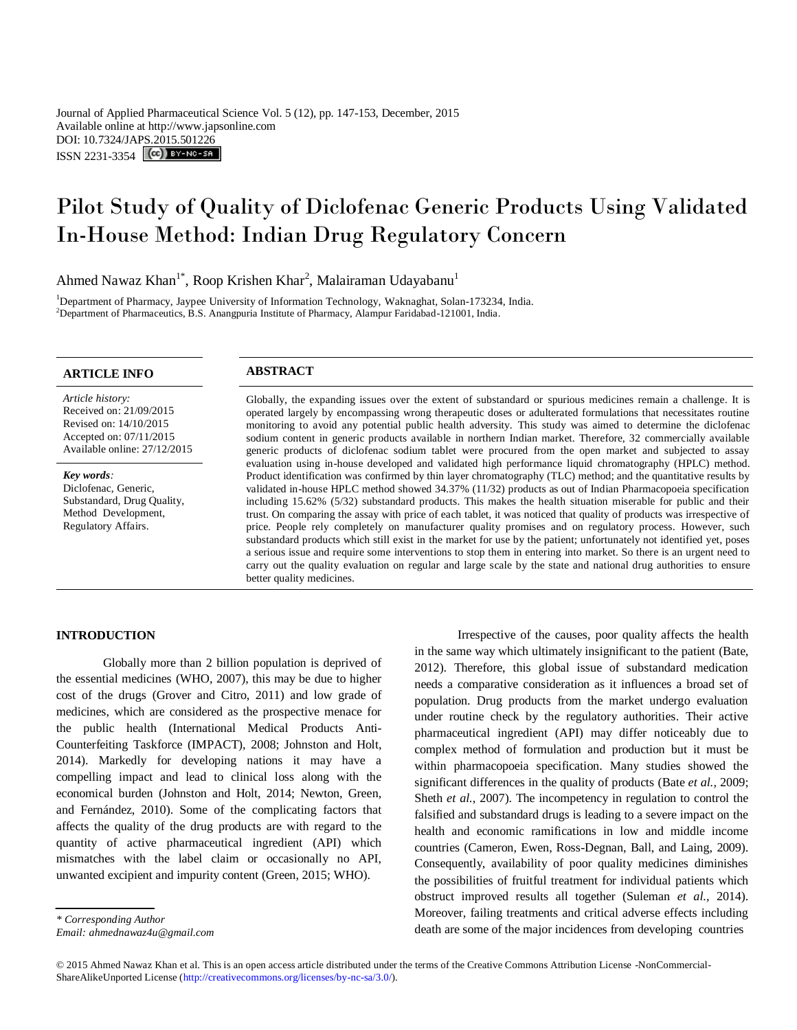Journal of Applied Pharmaceutical Science Vol. 5 (12), pp. 147-153, December, 2015 Available online at http://www.japsonline.com DOI: 10.7324/JA[PS.2015.501226](http://creativecommons.org/licenses/by-nc-sa/3.0/) ISSN 2231-3354 **(cc)** BY-NO-SA

# Pilot Study of Quality of Diclofenac Generic Products Using Validated In-House Method: Indian Drug Regulatory Concern

Ahmed Nawaz Khan<sup>1\*</sup>, Roop Krishen Khar<sup>2</sup>, Malairaman Udayabanu<sup>1</sup>

<sup>1</sup>Department of Pharmacy, Jaypee University of Information Technology, Waknaghat, Solan-173234, India. <sup>2</sup>Department of Pharmaceutics, B.S. Anangpuria Institute of Pharmacy, Alampur Faridabad-121001, India.

## **ARTICLE INFO ABSTRACT**

*Article history:* Received on: 21/09/2015 Revised on: 14/10/2015 Accepted on: 07/11/2015 Available online: 27/12/2015

*Key words:*  Diclofenac, Generic, Substandard, Drug Quality, Method Development, Regulatory Affairs.

Globally, the expanding issues over the extent of substandard or spurious medicines remain a challenge. It is operated largely by encompassing wrong therapeutic doses or adulterated formulations that necessitates routine monitoring to avoid any potential public health adversity. This study was aimed to determine the diclofenac sodium content in generic products available in northern Indian market. Therefore, 32 commercially available generic products of diclofenac sodium tablet were procured from the open market and subjected to assay evaluation using in-house developed and validated high performance liquid chromatography (HPLC) method. Product identification was confirmed by thin layer chromatography (TLC) method; and the quantitative results by validated in-house HPLC method showed 34.37% (11/32) products as out of Indian Pharmacopoeia specification including 15.62% (5/32) substandard products. This makes the health situation miserable for public and their trust. On comparing the assay with price of each tablet, it was noticed that quality of products was irrespective of price. People rely completely on manufacturer quality promises and on regulatory process. However, such substandard products which still exist in the market for use by the patient; unfortunately not identified yet, poses a serious issue and require some interventions to stop them in entering into market. So there is an urgent need to carry out the quality evaluation on regular and large scale by the state and national drug authorities to ensure better quality medicines.

### **INTRODUCTION**

Globally more than 2 billion population is deprived of the essential medicines (WHO, 2007), this may be due to higher cost of the drugs (Grover and Citro, 2011) and low grade of medicines, which are considered as the prospective menace for the public health (International Medical Products Anti-Counterfeiting Taskforce (IMPACT), 2008; Johnston and Holt, 2014). Markedly for developing nations it may have a compelling impact and lead to clinical loss along with the economical burden (Johnston and Holt, 2014; Newton, Green, and Fernández, 2010). Some of the complicating factors that affects the quality of the drug products are with regard to the quantity of active pharmaceutical ingredient (API) which mismatches with the label claim or occasionally no API, unwanted excipient and impurity content (Green, 2015; WHO).

Irrespective of the causes, poor quality affects the health in the same way which ultimately insignificant to the patient (Bate, 2012). Therefore, this global issue of substandard medication needs a comparative consideration as it influences a broad set of population. Drug products from the market undergo evaluation under routine check by the regulatory authorities. Their active pharmaceutical ingredient (API) may differ noticeably due to complex method of formulation and production but it must be within pharmacopoeia specification. Many studies showed the significant differences in the quality of products (Bate *et al.,* 2009; Sheth *et al.,* 2007). The incompetency in regulation to control the falsified and substandard drugs is leading to a severe impact on the health and economic ramifications in low and middle income countries (Cameron, Ewen, Ross-Degnan, Ball, and Laing, 2009). Consequently, availability of poor quality medicines diminishes the possibilities of fruitful treatment for individual patients which obstruct improved results all together (Suleman *et al.,* 2014). Moreover, failing treatments and critical adverse effects including death are some of the major incidences from developing countries

*<sup>\*</sup> Corresponding Author*

*Email: ahmednawaz4u@gmail.com*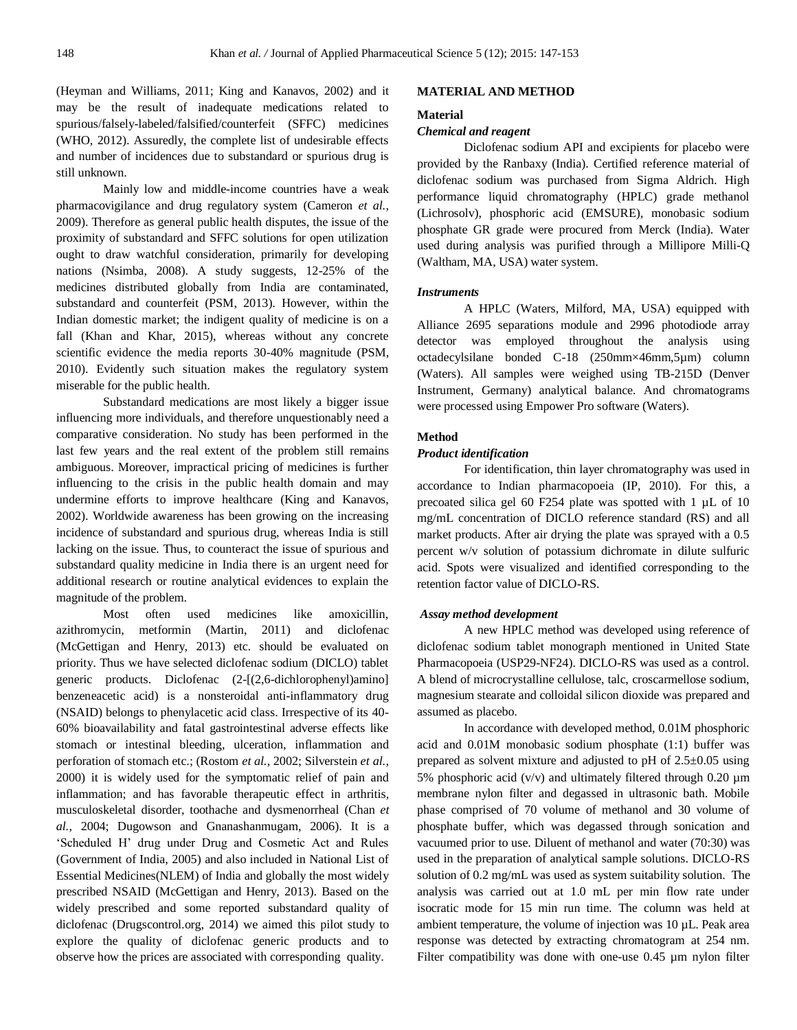(Heyman and Williams, 2011; King and Kanavos, 2002) and it may be the result of inadequate medications related to spurious/falsely-labeled/falsified/counterfeit (SFFC) medicines (WHO, 2012). Assuredly, the complete list of undesirable effects and number of incidences due to substandard or spurious drug is still unknown.

Mainly low and middle-income countries have a weak pharmacovigilance and drug regulatory system (Cameron *et al.,*  2009). Therefore as general public health disputes, the issue of the proximity of substandard and SFFC solutions for open utilization ought to draw watchful consideration, primarily for developing nations (Nsimba, 2008). A study suggests, 12-25% of the medicines distributed globally from India are contaminated, substandard and counterfeit (PSM, 2013). However, within the Indian domestic market; the indigent quality of medicine is on a fall (Khan and Khar, 2015), whereas without any concrete scientific evidence the media reports 30-40% magnitude (PSM, 2010). Evidently such situation makes the regulatory system miserable for the public health.

Substandard medications are most likely a bigger issue influencing more individuals, and therefore unquestionably need a comparative consideration. No study has been performed in the last few years and the real extent of the problem still remains ambiguous. Moreover, impractical pricing of medicines is further influencing to the crisis in the public health domain and may undermine efforts to improve healthcare (King and Kanavos, 2002). Worldwide awareness has been growing on the increasing incidence of substandard and spurious drug, whereas India is still lacking on the issue. Thus, to counteract the issue of spurious and substandard quality medicine in India there is an urgent need for additional research or routine analytical evidences to explain the magnitude of the problem.

Most often used medicines like amoxicillin, azithromycin, metformin (Martin, 2011) and diclofenac (McGettigan and Henry, 2013) etc. should be evaluated on priority. Thus we have selected diclofenac sodium (DICLO) tablet generic products. Diclofenac (2-[(2,6-dichlorophenyl)amino] benzeneacetic acid) is a nonsteroidal anti-inflammatory drug (NSAID) belongs to phenylacetic acid class. Irrespective of its 40- 60% bioavailability and fatal gastrointestinal adverse effects like stomach or intestinal bleeding, ulceration, inflammation and perforation of stomach etc.; (Rostom *et al.,* 2002; Silverstein *et al.,*  2000) it is widely used for the symptomatic relief of pain and inflammation; and has favorable therapeutic effect in arthritis, musculoskeletal disorder, toothache and dysmenorrheal (Chan *et al.,* 2004; Dugowson and Gnanashanmugam, 2006). It is a 'Scheduled H' drug under Drug and Cosmetic Act and Rules (Government of India, 2005) and also included in National List of Essential Medicines(NLEM) of India and globally the most widely prescribed NSAID (McGettigan and Henry, 2013). Based on the widely prescribed and some reported substandard quality of diclofenac (Drugscontrol.org, 2014) we aimed this pilot study to explore the quality of diclofenac generic products and to observe how the prices are associated with corresponding quality.

#### **MATERIAL AND METHOD**

#### **Material**

#### *Chemical and reagent*

Diclofenac sodium API and excipients for placebo were provided by the Ranbaxy (India). Certified reference material of diclofenac sodium was purchased from Sigma Aldrich. High performance liquid chromatography (HPLC) grade methanol (Lichrosolv), phosphoric acid (EMSURE), monobasic sodium phosphate GR grade were procured from Merck (India). Water used during analysis was purified through a Millipore Milli-Q (Waltham, MA, USA) water system.

#### *Instruments*

A HPLC (Waters, Milford, MA, USA) equipped with Alliance 2695 separations module and 2996 photodiode array detector was employed throughout the analysis using octadecylsilane bonded C-18 (250mm×46mm,5µm) column (Waters). All samples were weighed using TB-215D (Denver Instrument, Germany) analytical balance. And chromatograms were processed using Empower Pro software (Waters).

#### **Method**

#### *Product identification*

For identification, thin layer chromatography was used in accordance to Indian pharmacopoeia (IP, 2010). For this, a precoated silica gel 60 F254 plate was spotted with 1 µL of 10 mg/mL concentration of DICLO reference standard (RS) and all market products. After air drying the plate was sprayed with a 0.5 percent w/v solution of potassium dichromate in dilute sulfuric acid. Spots were visualized and identified corresponding to the retention factor value of DICLO-RS.

#### *Assay method development*

A new HPLC method was developed using reference of diclofenac sodium tablet monograph mentioned in United State Pharmacopoeia (USP29-NF24). DICLO-RS was used as a control. A blend of microcrystalline cellulose, talc, croscarmellose sodium, magnesium stearate and colloidal silicon dioxide was prepared and assumed as placebo.

In accordance with developed method, 0.01M phosphoric acid and 0.01M monobasic sodium phosphate (1:1) buffer was prepared as solvent mixture and adjusted to pH of 2.5±0.05 using 5% phosphoric acid  $(v/v)$  and ultimately filtered through 0.20  $\mu$ m membrane nylon filter and degassed in ultrasonic bath. Mobile phase comprised of 70 volume of methanol and 30 volume of phosphate buffer, which was degassed through sonication and vacuumed prior to use. Diluent of methanol and water (70:30) was used in the preparation of analytical sample solutions. DICLO-RS solution of 0.2 mg/mL was used as system suitability solution. The analysis was carried out at 1.0 mL per min flow rate under isocratic mode for 15 min run time. The column was held at ambient temperature, the volume of injection was 10 µL. Peak area response was detected by extracting chromatogram at 254 nm. Filter compatibility was done with one-use 0.45 µm nylon filter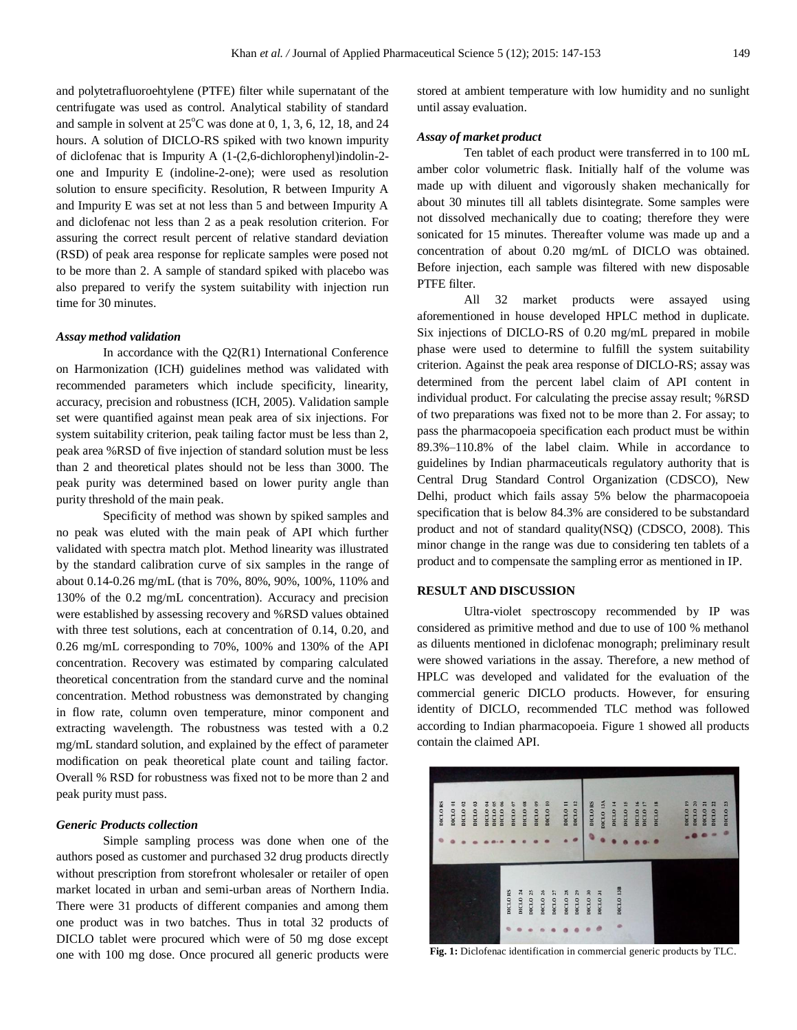and polytetrafluoroehtylene (PTFE) filter while supernatant of the centrifugate was used as control. Analytical stability of standard and sample in solvent at  $25^{\circ}$ C was done at 0, 1, 3, 6, 12, 18, and 24 hours. A solution of DICLO-RS spiked with two known impurity of diclofenac that is Impurity A (1-(2,6-dichlorophenyl)indolin-2 one and Impurity E (indoline-2-one); were used as resolution solution to ensure specificity. Resolution, R between Impurity A and Impurity E was set at not less than 5 and between Impurity A and diclofenac not less than 2 as a peak resolution criterion. For assuring the correct result percent of relative standard deviation (RSD) of peak area response for replicate samples were posed not to be more than 2. A sample of standard spiked with placebo was also prepared to verify the system suitability with injection run time for 30 minutes.

#### *Assay method validation*

In accordance with the Q2(R1) International Conference on Harmonization (ICH) guidelines method was validated with recommended parameters which include specificity, linearity, accuracy, precision and robustness (ICH, 2005). Validation sample set were quantified against mean peak area of six injections. For system suitability criterion, peak tailing factor must be less than 2, peak area %RSD of five injection of standard solution must be less than 2 and theoretical plates should not be less than 3000. The peak purity was determined based on lower purity angle than purity threshold of the main peak.

Specificity of method was shown by spiked samples and no peak was eluted with the main peak of API which further validated with spectra match plot. Method linearity was illustrated by the standard calibration curve of six samples in the range of about 0.14-0.26 mg/mL (that is 70%, 80%, 90%, 100%, 110% and 130% of the 0.2 mg/mL concentration). Accuracy and precision were established by assessing recovery and %RSD values obtained with three test solutions, each at concentration of 0.14, 0.20, and 0.26 mg/mL corresponding to 70%, 100% and 130% of the API concentration. Recovery was estimated by comparing calculated theoretical concentration from the standard curve and the nominal concentration. Method robustness was demonstrated by changing in flow rate, column oven temperature, minor component and extracting wavelength. The robustness was tested with a 0.2 mg/mL standard solution, and explained by the effect of parameter modification on peak theoretical plate count and tailing factor. Overall % RSD for robustness was fixed not to be more than 2 and peak purity must pass.

#### *Generic Products collection*

Simple sampling process was done when one of the authors posed as customer and purchased 32 drug products directly without prescription from storefront wholesaler or retailer of open market located in urban and semi-urban areas of Northern India. There were 31 products of different companies and among them one product was in two batches. Thus in total 32 products of DICLO tablet were procured which were of 50 mg dose except one with 100 mg dose. Once procured all generic products were

stored at ambient temperature with low humidity and no sunlight until assay evaluation.

#### *Assay of market product*

Ten tablet of each product were transferred in to 100 mL amber color volumetric flask. Initially half of the volume was made up with diluent and vigorously shaken mechanically for about 30 minutes till all tablets disintegrate. Some samples were not dissolved mechanically due to coating; therefore they were sonicated for 15 minutes. Thereafter volume was made up and a concentration of about 0.20 mg/mL of DICLO was obtained. Before injection, each sample was filtered with new disposable PTFE filter.

All 32 market products were assayed using aforementioned in house developed HPLC method in duplicate. Six injections of DICLO-RS of 0.20 mg/mL prepared in mobile phase were used to determine to fulfill the system suitability criterion. Against the peak area response of DICLO-RS; assay was determined from the percent label claim of API content in individual product. For calculating the precise assay result; %RSD of two preparations was fixed not to be more than 2. For assay; to pass the pharmacopoeia specification each product must be within 89.3%–110.8% of the label claim. While in accordance to guidelines by Indian pharmaceuticals regulatory authority that is Central Drug Standard Control Organization (CDSCO), New Delhi, product which fails assay 5% below the pharmacopoeia specification that is below 84.3% are considered to be substandard product and not of standard quality(NSQ) (CDSCO, 2008). This minor change in the range was due to considering ten tablets of a product and to compensate the sampling error as mentioned in IP.

#### **RESULT AND DISCUSSION**

Ultra-violet spectroscopy recommended by IP was considered as primitive method and due to use of 100 % methanol as diluents mentioned in diclofenac monograph; preliminary result were showed variations in the assay. Therefore, a new method of HPLC was developed and validated for the evaluation of the commercial generic DICLO products. However, for ensuring identity of DICLO, recommended TLC method was followed according to Indian pharmacopoeia. Figure 1 showed all products contain the claimed API.



Fig. 1: Diclofenac identification in commercial generic products by TLC.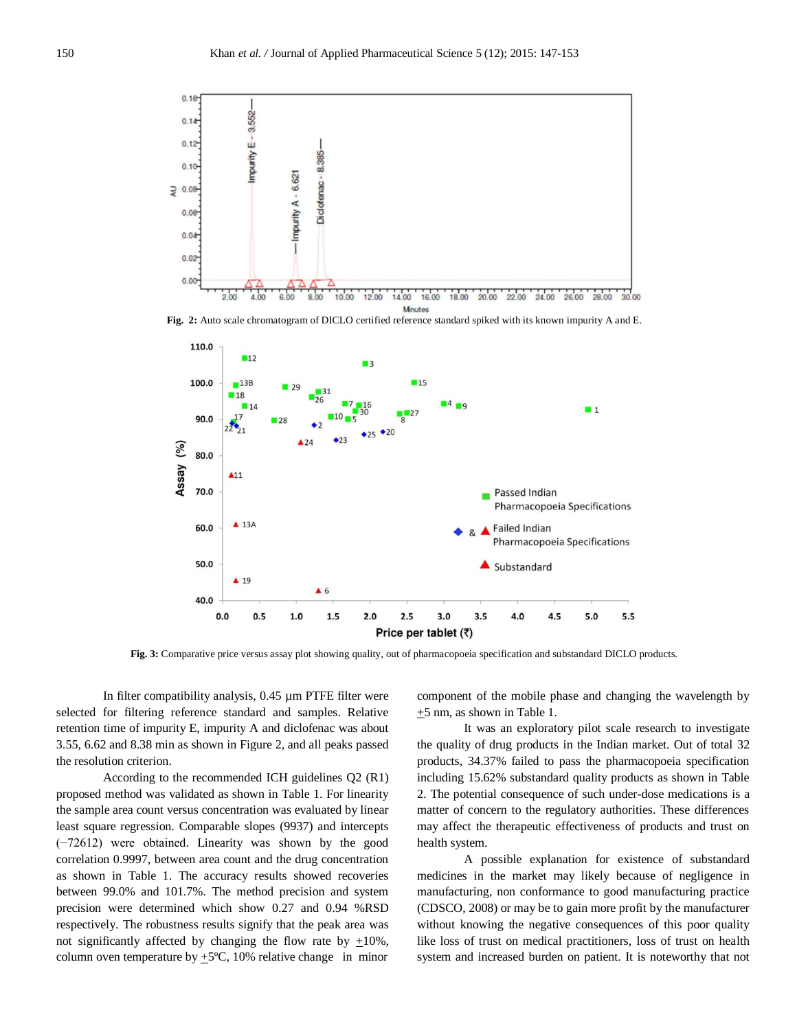

**Fig. 2:** Auto scale chromatogram of DICLO certified reference standard spiked with its known impurity A and E.



**Fig. 3:** Comparative price versus assay plot showing quality, out of pharmacopoeia specification and substandard DICLO products.

In filter compatibility analysis, 0.45 µm PTFE filter were selected for filtering reference standard and samples. Relative retention time of impurity E, impurity A and diclofenac was about 3.55, 6.62 and 8.38 min as shown in Figure 2, and all peaks passed the resolution criterion.

According to the recommended ICH guidelines Q2 (R1) proposed method was validated as shown in Table 1. For linearity the sample area count versus concentration was evaluated by linear least square regression. Comparable slopes (9937) and intercepts (−72612) were obtained. Linearity was shown by the good correlation 0.9997, between area count and the drug concentration as shown in Table 1. The accuracy results showed recoveries between 99.0% and 101.7%. The method precision and system precision were determined which show 0.27 and 0.94 %RSD respectively. The robustness results signify that the peak area was not significantly affected by changing the flow rate by  $\pm 10\%$ , column oven temperature by  $\pm$  5°C, 10% relative change in minor

component of the mobile phase and changing the wavelength by +5 nm, as shown in Table 1.

It was an exploratory pilot scale research to investigate the quality of drug products in the Indian market. Out of total 32 products, 34.37% failed to pass the pharmacopoeia specification including 15.62% substandard quality products as shown in Table 2. The potential consequence of such under-dose medications is a matter of concern to the regulatory authorities. These differences may affect the therapeutic effectiveness of products and trust on health system.

A possible explanation for existence of substandard medicines in the market may likely because of negligence in manufacturing, non conformance to good manufacturing practice (CDSCO, 2008) or may be to gain more profit by the manufacturer without knowing the negative consequences of this poor quality like loss of trust on medical practitioners, loss of trust on health system and increased burden on patient. It is noteworthy that not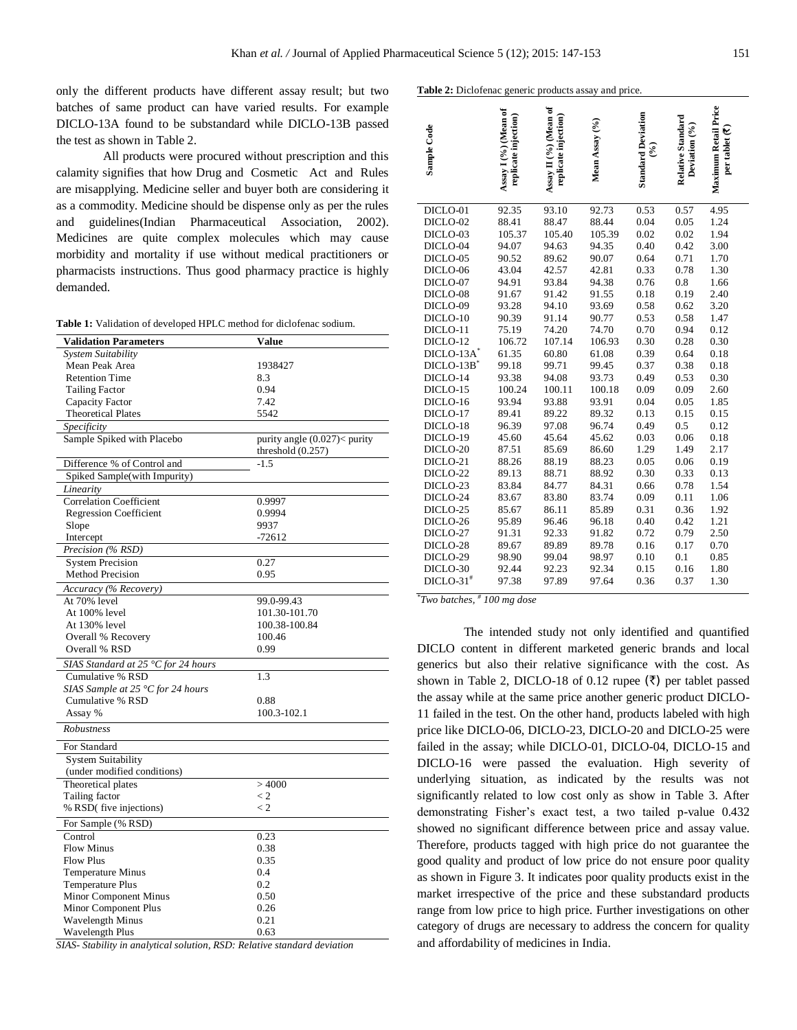only the different products have different assay result; but two batches of same product can have varied results. For example DICLO-13A found to be substandard while DICLO-13B passed the test as shown in Table 2.

All products were procured without prescription and this calamity signifies that how Drug and Cosmetic Act and Rules are misapplying. Medicine seller and buyer both are considering it as a commodity. Medicine should be dispense only as per the rules and guidelines(Indian Pharmaceutical Association, 2002). Medicines are quite complex molecules which may cause morbidity and mortality if use without medical practitioners or pharmacists instructions. Thus good pharmacy practice is highly demanded.

**Table 1:** Validation of developed HPLC method for diclofenac sodium.

| <b>Validation Parameters</b>                       | Value                         |
|----------------------------------------------------|-------------------------------|
| System Suitability                                 |                               |
| Mean Peak Area                                     | 1938427                       |
| <b>Retention Time</b>                              | 8.3                           |
| <b>Tailing Factor</b>                              | 0.94                          |
| Capacity Factor                                    | 7.42                          |
| <b>Theoretical Plates</b>                          | 5542                          |
| Specificity                                        |                               |
| Sample Spiked with Placebo                         | purity angle $(0.027)$ purity |
|                                                    | threshold $(0.257)$           |
| Difference % of Control and                        | $-1.5$                        |
| Spiked Sample(with Impurity)                       |                               |
| Linearity                                          |                               |
| <b>Correlation Coefficient</b>                     | 0.9997                        |
| <b>Regression Coefficient</b>                      | 0.9994                        |
| Slope                                              | 9937                          |
| Intercept                                          | $-72612$                      |
| Precision (% RSD)                                  |                               |
|                                                    | 0.27                          |
| <b>System Precision</b><br><b>Method Precision</b> |                               |
|                                                    | 0.95                          |
| Accuracy (% Recovery)                              |                               |
| At 70% level                                       | 99.0-99.43                    |
| At 100% level                                      | 101.30-101.70                 |
| At 130% level                                      | 100.38-100.84                 |
| Overall % Recovery                                 | 100.46                        |
| Overall % RSD                                      | 0.99                          |
| SIAS Standard at 25 °C for 24 hours                |                               |
| Cumulative % RSD                                   | 1.3                           |
| SIAS Sample at 25 $\degree$ C for 24 hours         |                               |
| Cumulative % RSD                                   | 0.88                          |
| Assay %                                            | 100.3-102.1                   |
| Robustness                                         |                               |
|                                                    |                               |
| For Standard                                       |                               |
| <b>System Suitability</b>                          |                               |
| (under modified conditions)                        |                               |
| Theoretical plates                                 | >4000                         |
| Tailing factor                                     | $\lt 2$                       |
| % RSD(five injections)                             | $\lt 2$                       |
| For Sample (% RSD)                                 |                               |
| Control                                            | 0.23                          |
| <b>Flow Minus</b>                                  | 0.38                          |
| <b>Flow Plus</b>                                   | 0.35                          |
| Temperature Minus                                  | 0.4                           |
| <b>Temperature Plus</b>                            | 0.2                           |
| Minor Component Minus                              | 0.50                          |
| Minor Component Plus                               | 0.26                          |
| Wavelength Minus                                   | 0.21                          |
| Wavelength Plus                                    | 0.63                          |
|                                                    |                               |

*SIAS- Stability in analytical solution, RSD: Relative standard deviation*

| Table 2: Diclofenac generic products assay and price. |  |  |
|-------------------------------------------------------|--|--|
|                                                       |  |  |

| <b>CIVICHAC</b>         | - 11 U L                                     | rouucis assa                                  |                |                                  |                                    |                                                            |
|-------------------------|----------------------------------------------|-----------------------------------------------|----------------|----------------------------------|------------------------------------|------------------------------------------------------------|
| Sample Code             | Assay I (%) (Mean of<br>replicate injection) | Assay II (%) (Mean of<br>replicate injection) | Mean Assay (%) | <b>Standard Deviation</b><br>જ્ઞ | Relative Standard<br>Deviation (%) | Maximum Retail Price<br>per tablet $\overline{\mathbf{C}}$ |
| DICLO-01                | 92.35                                        | 93.10                                         | 92.73          | 0.53                             | 0.57                               | 4.95                                                       |
| DICLO-02                | 88.41                                        | 88.47                                         | 88.44          | 0.04                             | 0.05                               | 1.24                                                       |
| DICLO-03                | 105.37                                       | 105.40                                        | 105.39         | 0.02                             | 0.02                               | 1.94                                                       |
| DICLO-04                | 94.07                                        | 94.63                                         | 94.35          | 0.40                             | 0.42                               | 3.00                                                       |
| DICLO-05                | 90.52                                        | 89.62                                         | 90.07          | 0.64                             | 0.71                               | 1.70                                                       |
| DICLO-06                | 43.04                                        | 42.57                                         | 42.81          | 0.33                             | 0.78                               | 1.30                                                       |
| DICLO-07                | 94.91                                        | 93.84                                         | 94.38          | 0.76                             | 0.8                                | 1.66                                                       |
| DICLO-08                | 91.67                                        | 91.42                                         | 91.55          | 0.18                             | 0.19                               | 2.40                                                       |
| DICLO-09                | 93.28                                        | 94.10                                         | 93.69          | 0.58                             | 0.62                               | 3.20                                                       |
| DICLO-10                | 90.39                                        | 91.14                                         | 90.77          | 0.53                             | 0.58                               | 1.47                                                       |
| DICLO-11                | 75.19                                        | 74.20                                         | 74.70          | 0.70                             | 0.94                               | 0.12                                                       |
| DICLO-12                | 106.72                                       | 107.14                                        | 106.93         | 0.30                             | 0.28                               | 0.30                                                       |
| DICLO-13A               | 61.35                                        | 60.80                                         | 61.08          | 0.39                             | 0.64                               | 0.18                                                       |
| $DICLO-13B^*$           | 99.18                                        | 99.71                                         | 99.45          | 0.37                             | 0.38                               | 0.18                                                       |
| DICLO-14                | 93.38                                        | 94.08                                         | 93.73          | 0.49                             | 0.53                               | 0.30                                                       |
| DICLO-15                | 100.24                                       | 100.11                                        | 100.18         | 0.09                             | 0.09                               | 2.60                                                       |
| DICLO-16                | 93.94                                        | 93.88                                         | 93.91          | 0.04                             | 0.05                               | 1.85                                                       |
| DICLO-17                | 89.41                                        | 89.22                                         | 89.32          | 0.13                             | 0.15                               | 0.15                                                       |
| DICLO-18                | 96.39                                        | 97.08                                         | 96.74          | 0.49                             | 0.5                                | 0.12                                                       |
| DICLO-19                | 45.60                                        | 45.64                                         | 45.62          | 0.03                             | 0.06                               | 0.18                                                       |
| DICLO-20                | 87.51                                        | 85.69                                         | 86.60          | 1.29                             | 1.49                               | 2.17                                                       |
| DICLO-21                | 88.26                                        | 88.19                                         | 88.23          | 0.05                             | 0.06                               | 0.19                                                       |
| DICLO-22                | 89.13                                        | 88.71                                         | 88.92          | 0.30                             | 0.33                               | 0.13                                                       |
| DICLO-23                | 83.84                                        | 84.77                                         | 84.31          | 0.66                             | 0.78                               | 1.54                                                       |
| DICLO-24                | 83.67                                        | 83.80                                         | 83.74          | 0.09                             | 0.11                               | 1.06                                                       |
| DICLO-25                | 85.67                                        | 86.11                                         | 85.89          | 0.31                             | 0.36                               | 1.92                                                       |
| DICLO-26                | 95.89                                        | 96.46                                         | 96.18          | 0.40                             | 0.42                               | 1.21                                                       |
| DICLO-27                | 91.31                                        | 92.33                                         | 91.82          | 0.72                             | 0.79                               | 2.50                                                       |
| DICLO-28                | 89.67                                        | 89.89                                         | 89.78          | 0.16                             | 0.17                               | 0.70                                                       |
| DICLO-29                | 98.90                                        | 99.04                                         | 98.97          | 0.10                             | 0.1                                | 0.85                                                       |
| DICLO-30                | 92.44                                        | 92.23                                         | 92.34          | 0.15                             | 0.16                               | 1.80                                                       |
| $DICLO-31$ <sup>#</sup> | 97.38                                        | 97.89                                         | 97.64          | 0.36                             | 0.37                               | 1.30                                                       |

*\* Two batches, # 100 mg dose*

The intended study not only identified and quantified DICLO content in different marketed generic brands and local generics but also their relative significance with the cost. As shown in Table 2, DICLO-18 of 0.12 rupee  $(\bar{\tau})$  per tablet passed the assay while at the same price another generic product DICLO-11 failed in the test. On the other hand, products labeled with high price like DICLO-06, DICLO-23, DICLO-20 and DICLO-25 were failed in the assay; while DICLO-01, DICLO-04, DICLO-15 and DICLO-16 were passed the evaluation. High severity of underlying situation, as indicated by the results was not significantly related to low cost only as show in Table 3. After demonstrating Fisher's exact test, a two tailed p-value 0.432 showed no significant difference between price and assay value. Therefore, products tagged with high price do not guarantee the good quality and product of low price do not ensure poor quality as shown in Figure 3. It indicates poor quality products exist in the market irrespective of the price and these substandard products range from low price to high price. Further investigations on other category of drugs are necessary to address the concern for quality and affordability of medicines in India.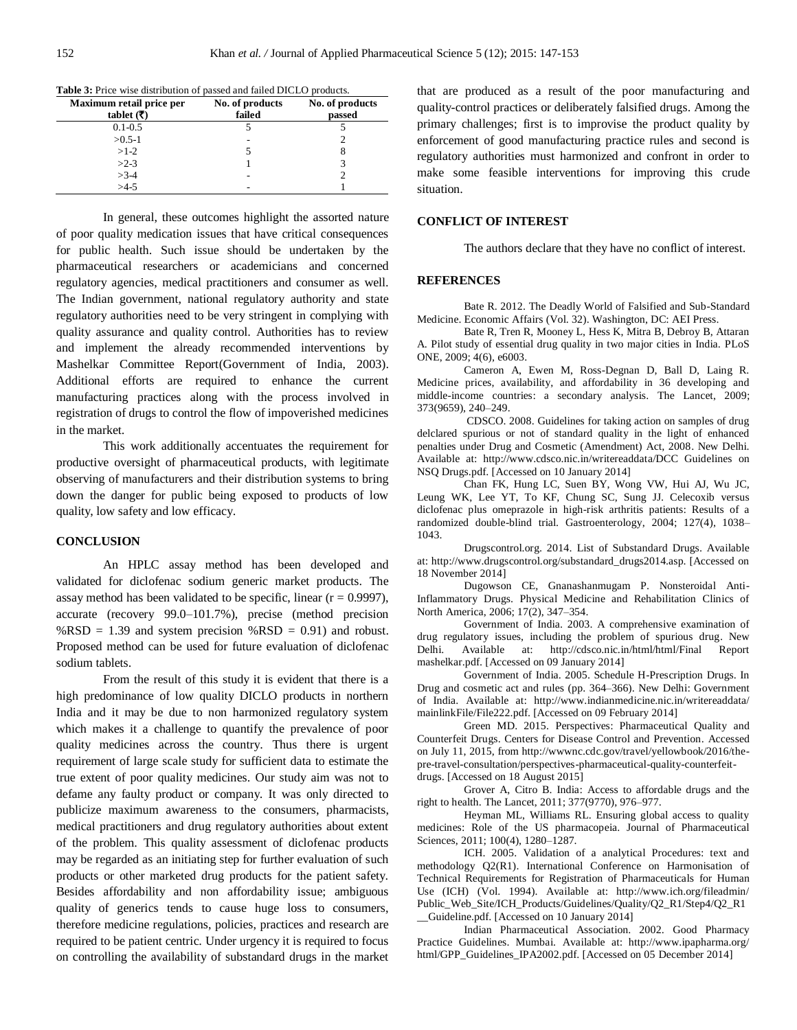| Maximum retail price per<br>tablet $(\overline{\mathbf{z}})$ | No. of products<br>failed | No. of products<br>passed |
|--------------------------------------------------------------|---------------------------|---------------------------|
| $0.1 - 0.5$                                                  |                           |                           |
| $>0.5-1$                                                     |                           |                           |
| $>1-2$                                                       |                           |                           |
| $>2-3$                                                       |                           | 3                         |
| $>3-4$                                                       |                           |                           |
| $>4-5$                                                       |                           |                           |

**Table 3:** Price wise distribution of passed and failed DICLO products.

In general, these outcomes highlight the assorted nature of poor quality medication issues that have critical consequences for public health. Such issue should be undertaken by the pharmaceutical researchers or academicians and concerned regulatory agencies, medical practitioners and consumer as well. The Indian government, national regulatory authority and state regulatory authorities need to be very stringent in complying with quality assurance and quality control. Authorities has to review and implement the already recommended interventions by Mashelkar Committee Report(Government of India, 2003). Additional efforts are required to enhance the current manufacturing practices along with the process involved in registration of drugs to control the flow of impoverished medicines in the market.

This work additionally accentuates the requirement for productive oversight of pharmaceutical products, with legitimate observing of manufacturers and their distribution systems to bring down the danger for public being exposed to products of low quality, low safety and low efficacy.

#### **CONCLUSION**

An HPLC assay method has been developed and validated for diclofenac sodium generic market products. The assay method has been validated to be specific, linear  $(r = 0.9997)$ , accurate (recovery 99.0–101.7%), precise (method precision %RSD = 1.39 and system precision %RSD = 0.91) and robust. Proposed method can be used for future evaluation of diclofenac sodium tablets.

From the result of this study it is evident that there is a high predominance of low quality DICLO products in northern India and it may be due to non harmonized regulatory system which makes it a challenge to quantify the prevalence of poor quality medicines across the country. Thus there is urgent requirement of large scale study for sufficient data to estimate the true extent of poor quality medicines. Our study aim was not to defame any faulty product or company. It was only directed to publicize maximum awareness to the consumers, pharmacists, medical practitioners and drug regulatory authorities about extent of the problem. This quality assessment of diclofenac products may be regarded as an initiating step for further evaluation of such products or other marketed drug products for the patient safety. Besides affordability and non affordability issue; ambiguous quality of generics tends to cause huge loss to consumers, therefore medicine regulations, policies, practices and research are required to be patient centric. Under urgency it is required to focus on controlling the availability of substandard drugs in the market that are produced as a result of the poor manufacturing and quality-control practices or deliberately falsified drugs. Among the primary challenges; first is to improvise the product quality by enforcement of good manufacturing practice rules and second is regulatory authorities must harmonized and confront in order to make some feasible interventions for improving this crude situation.

#### **CONFLICT OF INTEREST**

The authors declare that they have no conflict of interest.

#### **REFERENCES**

Bate R. 2012. The Deadly World of Falsified and Sub-Standard Medicine. Economic Affairs (Vol. 32). Washington, DC: AEI Press.

Bate R, Tren R, Mooney L, Hess K, Mitra B, Debroy B, Attaran A. Pilot study of essential drug quality in two major cities in India. PLoS ONE, 2009; 4(6), e6003.

Cameron A, Ewen M, Ross-Degnan D, Ball D, Laing R. Medicine prices, availability, and affordability in 36 developing and middle-income countries: a secondary analysis. The Lancet, 2009; 373(9659), 240–249.

CDSCO. 2008. Guidelines for taking action on samples of drug delclared spurious or not of standard quality in the light of enhanced penalties under Drug and Cosmetic (Amendment) Act, 2008. New Delhi. Available at: http://www.cdsco.nic.in/writereaddata/DCC Guidelines on NSQ Drugs.pdf. [Accessed on 10 January 2014]

Chan FK, Hung LC, Suen BY, Wong VW, Hui AJ, Wu JC, Leung WK, Lee YT, To KF, Chung SC, Sung JJ. Celecoxib versus diclofenac plus omeprazole in high-risk arthritis patients: Results of a randomized double-blind trial. Gastroenterology, 2004; 127(4), 1038– 1043.

Drugscontrol.org. 2014. List of Substandard Drugs. Available at: http://www.drugscontrol.org/substandard\_drugs2014.asp. [Accessed on 18 November 2014]

Dugowson CE, Gnanashanmugam P. Nonsteroidal Anti-Inflammatory Drugs. Physical Medicine and Rehabilitation Clinics of North America, 2006; 17(2), 347–354.

Government of India. 2003. A comprehensive examination of drug regulatory issues, including the problem of spurious drug. New<br>Delhi. Available at: http://cdsco.nic.in/html/html/Final Report Available at: http://cdsco.nic.in/html/html/Final Report mashelkar.pdf. [Accessed on 09 January 2014]

Government of India. 2005. Schedule H-Prescription Drugs. In Drug and cosmetic act and rules (pp. 364–366). New Delhi: Government of India. Available at: http://www.indianmedicine.nic.in/writereaddata/ mainlinkFile/File222.pdf. [Accessed on 09 February 2014]

Green MD. 2015. Perspectives: Pharmaceutical Quality and Counterfeit Drugs. Centers for Disease Control and Prevention. Accessed on July 11, 2015, from http://wwwnc.cdc.gov/travel/yellowbook/2016/thepre-travel-consultation/perspectives-pharmaceutical-quality-counterfeitdrugs. [Accessed on 18 August 2015]

Grover A, Citro B. India: Access to affordable drugs and the right to health. The Lancet, 2011; 377(9770), 976–977.

Heyman ML, Williams RL. Ensuring global access to quality medicines: Role of the US pharmacopeia. Journal of Pharmaceutical Sciences, 2011; 100(4), 1280–1287.

ICH. 2005. Validation of a analytical Procedures: text and methodology Q2(R1). International Conference on Harmonisation of Technical Requirements for Registration of Pharmaceuticals for Human Use (ICH) (Vol. 1994). Available at: http://www.ich.org/fileadmin/ Public\_Web\_Site/ICH\_Products/Guidelines/Quality/Q2\_R1/Step4/Q2\_R1 \_\_Guideline.pdf. [Accessed on 10 January 2014]

Indian Pharmaceutical Association. 2002. Good Pharmacy Practice Guidelines. Mumbai. Available at: http://www.ipapharma.org/ html/GPP\_Guidelines\_IPA2002.pdf. [Accessed on 05 December 2014]